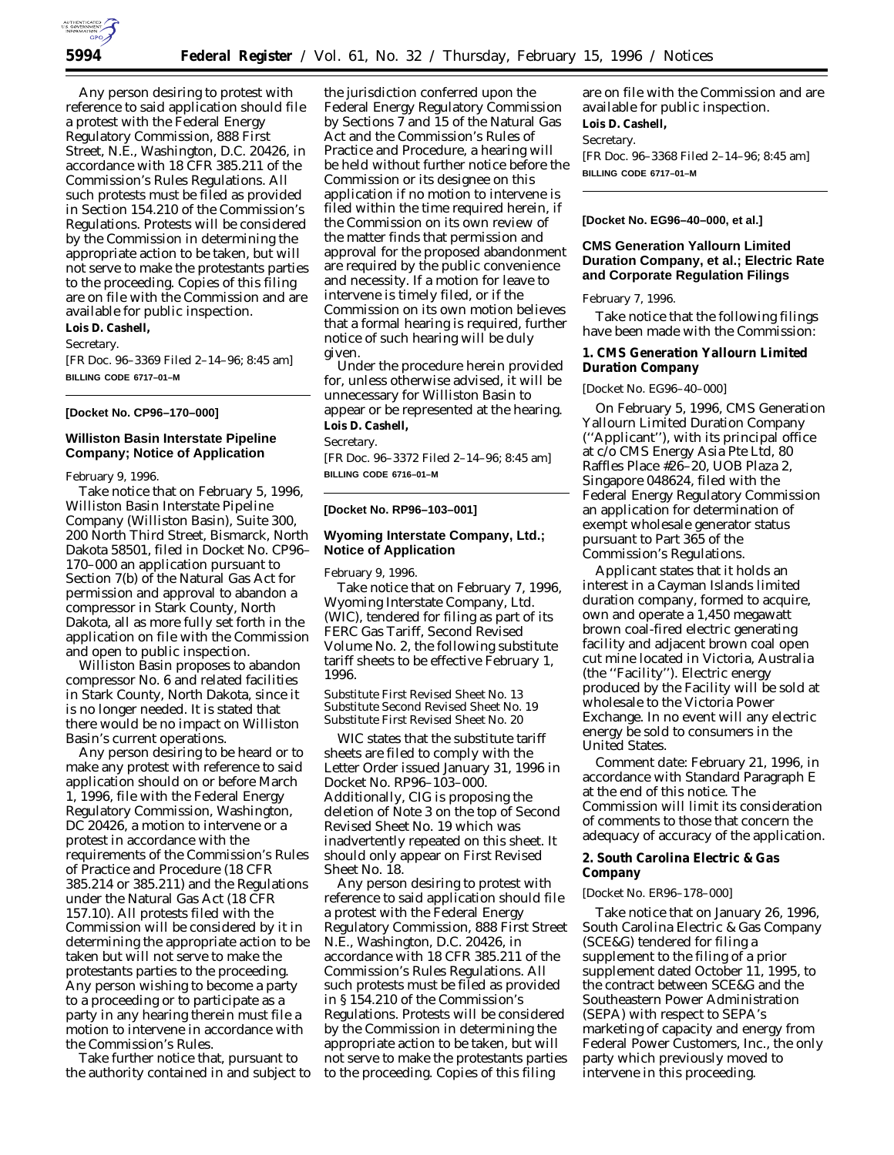

Any person desiring to protest with reference to said application should file a protest with the Federal Energy Regulatory Commission, 888 First Street, N.E., Washington, D.C. 20426, in accordance with 18 CFR 385.211 of the Commission's Rules Regulations. All such protests must be filed as provided in Section 154.210 of the Commission's Regulations. Protests will be considered by the Commission in determining the appropriate action to be taken, but will not serve to make the protestants parties to the proceeding. Copies of this filing are on file with the Commission and are available for public inspection.

**Lois D. Cashell,**

*Secretary.*

[FR Doc. 96–3369 Filed 2–14–96; 8:45 am] **BILLING CODE 6717–01–M**

#### **[Docket No. CP96–170–000]**

# **Williston Basin Interstate Pipeline Company; Notice of Application**

February 9, 1996.

Take notice that on February 5, 1996, Williston Basin Interstate Pipeline Company (Williston Basin), Suite 300, 200 North Third Street, Bismarck, North Dakota 58501, filed in Docket No. CP96– 170–000 an application pursuant to Section 7(b) of the Natural Gas Act for permission and approval to abandon a compressor in Stark County, North Dakota, all as more fully set forth in the application on file with the Commission and open to public inspection.

Williston Basin proposes to abandon compressor No. 6 and related facilities in Stark County, North Dakota, since it is no longer needed. It is stated that there would be no impact on Williston Basin's current operations.

Any person desiring to be heard or to make any protest with reference to said application should on or before March 1, 1996, file with the Federal Energy Regulatory Commission, Washington, DC 20426, a motion to intervene or a protest in accordance with the requirements of the Commission's Rules of Practice and Procedure (18 CFR 385.214 or 385.211) and the Regulations under the Natural Gas Act (18 CFR 157.10). All protests filed with the Commission will be considered by it in determining the appropriate action to be taken but will not serve to make the protestants parties to the proceeding. Any person wishing to become a party to a proceeding or to participate as a party in any hearing therein must file a motion to intervene in accordance with the Commission's Rules.

Take further notice that, pursuant to the authority contained in and subject to

the jurisdiction conferred upon the Federal Energy Regulatory Commission by Sections 7 and 15 of the Natural Gas Act and the Commission's Rules of Practice and Procedure, a hearing will be held without further notice before the Commission or its designee on this application if no motion to intervene is filed within the time required herein, if the Commission on its own review of the matter finds that permission and approval for the proposed abandonment are required by the public convenience and necessity. If a motion for leave to intervene is timely filed, or if the Commission on its own motion believes that a formal hearing is required, further notice of such hearing will be duly given.

Under the procedure herein provided for, unless otherwise advised, it will be unnecessary for Williston Basin to appear or be represented at the hearing. **Lois D. Cashell,**

*Secretary.*

[FR Doc. 96–3372 Filed 2–14–96; 8:45 am] **BILLING CODE 6716–01–M**

#### **[Docket No. RP96–103–001]**

# **Wyoming Interstate Company, Ltd.; Notice of Application**

February 9, 1996.

Take notice that on February 7, 1996, Wyoming Interstate Company, Ltd. (WIC), tendered for filing as part of its FERC Gas Tariff, Second Revised Volume No. 2, the following substitute tariff sheets to be effective February 1, 1996.

Substitute First Revised Sheet No. 13 Substitute Second Revised Sheet No. 19 Substitute First Revised Sheet No. 20

WIC states that the substitute tariff sheets are filed to comply with the Letter Order issued January 31, 1996 in Docket No. RP96–103–000. Additionally, CIG is proposing the deletion of Note 3 on the top of Second Revised Sheet No. 19 which was inadvertently repeated on this sheet. It should only appear on First Revised Sheet No. 18.

Any person desiring to protest with reference to said application should file a protest with the Federal Energy Regulatory Commission, 888 First Street N.E., Washington, D.C. 20426, in accordance with 18 CFR 385.211 of the Commission's Rules Regulations. All such protests must be filed as provided in § 154.210 of the Commission's Regulations. Protests will be considered by the Commission in determining the appropriate action to be taken, but will not serve to make the protestants parties to the proceeding. Copies of this filing

are on file with the Commission and are available for public inspection. **Lois D. Cashell,** *Secretary.* [FR Doc. 96–3368 Filed 2–14–96; 8:45 am] **BILLING CODE 6717–01–M**

### **[Docket No. EG96–40–000, et al.]**

# **CMS Generation Yallourn Limited Duration Company, et al.; Electric Rate and Corporate Regulation Filings**

February 7, 1996.

Take notice that the following filings have been made with the Commission:

**1. CMS Generation Yallourn Limited Duration Company**

### [Docket No. EG96–40–000]

On February 5, 1996, CMS Generation Yallourn Limited Duration Company (''Applicant''), with its principal office at c/o CMS Energy Asia Pte Ltd, 80 Raffles Place #26–20, UOB Plaza 2, Singapore 048624, filed with the Federal Energy Regulatory Commission an application for determination of exempt wholesale generator status pursuant to Part 365 of the Commission's Regulations.

Applicant states that it holds an interest in a Cayman Islands limited duration company, formed to acquire, own and operate a 1,450 megawatt brown coal-fired electric generating facility and adjacent brown coal open cut mine located in Victoria, Australia (the ''Facility''). Electric energy produced by the Facility will be sold at wholesale to the Victoria Power Exchange. In no event will any electric energy be sold to consumers in the United States.

*Comment date:* February 21, 1996, in accordance with Standard Paragraph E at the end of this notice. The Commission will limit its consideration of comments to those that concern the adequacy of accuracy of the application.

**2. South Carolina Electric & Gas Company**

#### [Docket No. ER96–178–000]

Take notice that on January 26, 1996, South Carolina Electric & Gas Company (SCE&G) tendered for filing a supplement to the filing of a prior supplement dated October 11, 1995, to the contract between SCE&G and the Southeastern Power Administration (SEPA) with respect to SEPA's marketing of capacity and energy from Federal Power Customers, Inc., the only party which previously moved to intervene in this proceeding.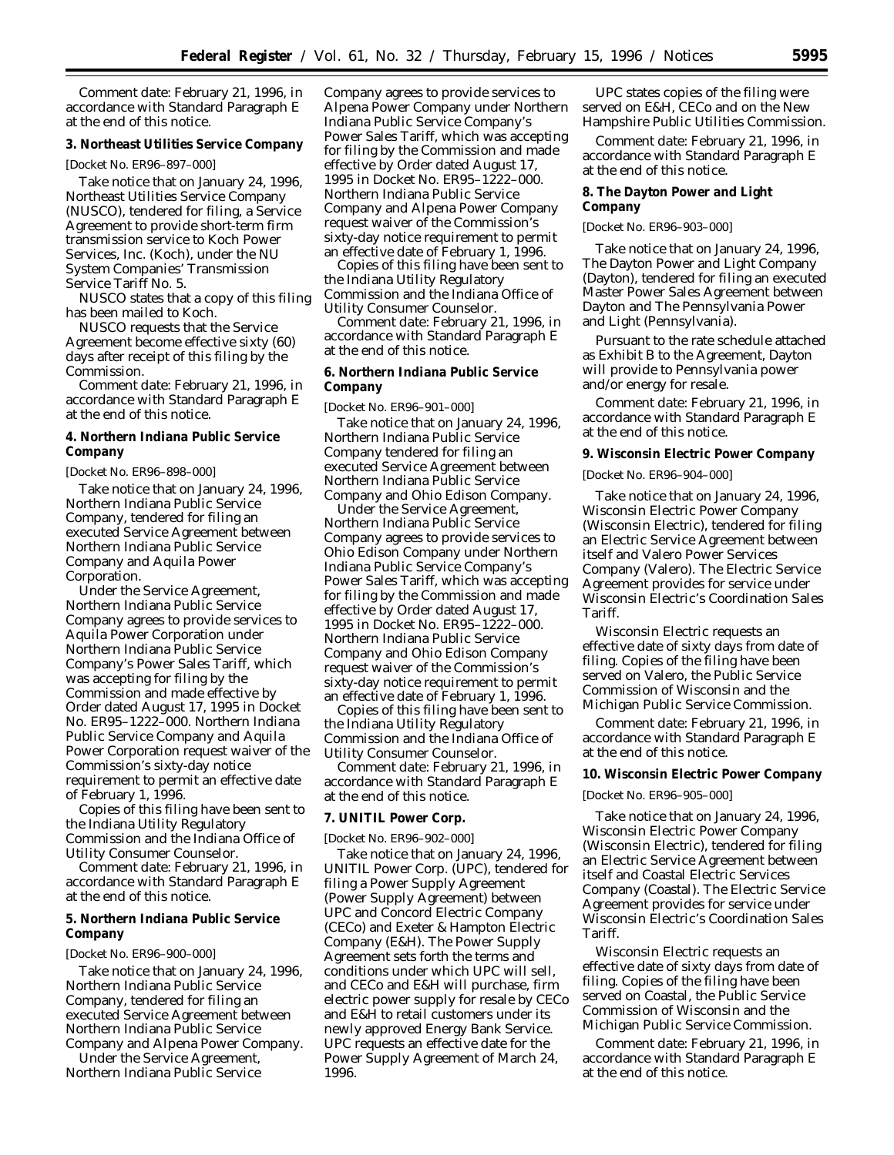*Comment date:* February 21, 1996, in accordance with Standard Paragraph E at the end of this notice.

**3. Northeast Utilities Service Company**

[Docket No. ER96–897–000]

Take notice that on January 24, 1996, Northeast Utilities Service Company (NUSCO), tendered for filing, a Service Agreement to provide short-term firm transmission service to Koch Power Services, Inc. (Koch), under the NU System Companies' Transmission Service Tariff No. 5.

NUSCO states that a copy of this filing has been mailed to Koch.

NUSCO requests that the Service Agreement become effective sixty (60) days after receipt of this filing by the Commission.

*Comment date:* February 21, 1996, in accordance with Standard Paragraph E at the end of this notice.

**4. Northern Indiana Public Service Company**

[Docket No. ER96–898–000]

Take notice that on January 24, 1996, Northern Indiana Public Service Company, tendered for filing an executed Service Agreement between Northern Indiana Public Service Company and Aquila Power Corporation.

Under the Service Agreement, Northern Indiana Public Service Company agrees to provide services to Aquila Power Corporation under Northern Indiana Public Service Company's Power Sales Tariff, which was accepting for filing by the Commission and made effective by Order dated August 17, 1995 in Docket No. ER95–1222–000. Northern Indiana Public Service Company and Aquila Power Corporation request waiver of the Commission's sixty-day notice requirement to permit an effective date of February 1, 1996.

Copies of this filing have been sent to the Indiana Utility Regulatory Commission and the Indiana Office of Utility Consumer Counselor.

*Comment date:* February 21, 1996, in accordance with Standard Paragraph E at the end of this notice.

**5. Northern Indiana Public Service Company**

[Docket No. ER96–900–000]

Take notice that on January 24, 1996, Northern Indiana Public Service Company, tendered for filing an executed Service Agreement between Northern Indiana Public Service Company and Alpena Power Company.

Under the Service Agreement, Northern Indiana Public Service Company agrees to provide services to Alpena Power Company under Northern Indiana Public Service Company's Power Sales Tariff, which was accepting for filing by the Commission and made effective by Order dated August 17, 1995 in Docket No. ER95–1222–000. Northern Indiana Public Service Company and Alpena Power Company request waiver of the Commission's sixty-day notice requirement to permit an effective date of February 1, 1996.

Copies of this filing have been sent to the Indiana Utility Regulatory Commission and the Indiana Office of Utility Consumer Counselor.

*Comment date:* February 21, 1996, in accordance with Standard Paragraph E at the end of this notice.

**6. Northern Indiana Public Service Company**

[Docket No. ER96–901–000]

Take notice that on January 24, 1996, Northern Indiana Public Service Company tendered for filing an executed Service Agreement between Northern Indiana Public Service Company and Ohio Edison Company.

Under the Service Agreement, Northern Indiana Public Service Company agrees to provide services to Ohio Edison Company under Northern Indiana Public Service Company's Power Sales Tariff, which was accepting for filing by the Commission and made effective by Order dated August 17, 1995 in Docket No. ER95–1222–000. Northern Indiana Public Service Company and Ohio Edison Company request waiver of the Commission's sixty-day notice requirement to permit an effective date of February 1, 1996.

Copies of this filing have been sent to the Indiana Utility Regulatory Commission and the Indiana Office of Utility Consumer Counselor.

*Comment date:* February 21, 1996, in accordance with Standard Paragraph E at the end of this notice.

# **7. UNITIL Power Corp.**

[Docket No. ER96–902–000]

Take notice that on January 24, 1996, UNITIL Power Corp. (UPC), tendered for filing a Power Supply Agreement (Power Supply Agreement) between UPC and Concord Electric Company (CECo) and Exeter & Hampton Electric Company (E&H). The Power Supply Agreement sets forth the terms and conditions under which UPC will sell, and CECo and E&H will purchase, firm electric power supply for resale by CECo and E&H to retail customers under its newly approved Energy Bank Service. UPC requests an effective date for the Power Supply Agreement of March 24, 1996.

UPC states copies of the filing were served on E&H, CECo and on the New Hampshire Public Utilities Commission.

*Comment date:* February 21, 1996, in accordance with Standard Paragraph E at the end of this notice.

**8. The Dayton Power and Light Company**

[Docket No. ER96–903–000]

Take notice that on January 24, 1996, The Dayton Power and Light Company (Dayton), tendered for filing an executed Master Power Sales Agreement between Dayton and The Pennsylvania Power and Light (Pennsylvania).

Pursuant to the rate schedule attached as Exhibit B to the Agreement, Dayton will provide to Pennsylvania power and/or energy for resale.

*Comment date:* February 21, 1996, in accordance with Standard Paragraph E at the end of this notice.

**9. Wisconsin Electric Power Company**

[Docket No. ER96–904–000]

Take notice that on January 24, 1996, Wisconsin Electric Power Company (Wisconsin Electric), tendered for filing an Electric Service Agreement between itself and Valero Power Services Company (Valero). The Electric Service Agreement provides for service under Wisconsin Electric's Coordination Sales Tariff.

Wisconsin Electric requests an effective date of sixty days from date of filing. Copies of the filing have been served on Valero, the Public Service Commission of Wisconsin and the Michigan Public Service Commission.

*Comment date:* February 21, 1996, in accordance with Standard Paragraph E at the end of this notice.

**10. Wisconsin Electric Power Company**

[Docket No. ER96–905–000]

Take notice that on January 24, 1996, Wisconsin Electric Power Company (Wisconsin Electric), tendered for filing an Electric Service Agreement between itself and Coastal Electric Services Company (Coastal). The Electric Service Agreement provides for service under Wisconsin Electric's Coordination Sales Tariff.

Wisconsin Electric requests an effective date of sixty days from date of filing. Copies of the filing have been served on Coastal, the Public Service Commission of Wisconsin and the Michigan Public Service Commission.

*Comment date:* February 21, 1996, in accordance with Standard Paragraph E at the end of this notice.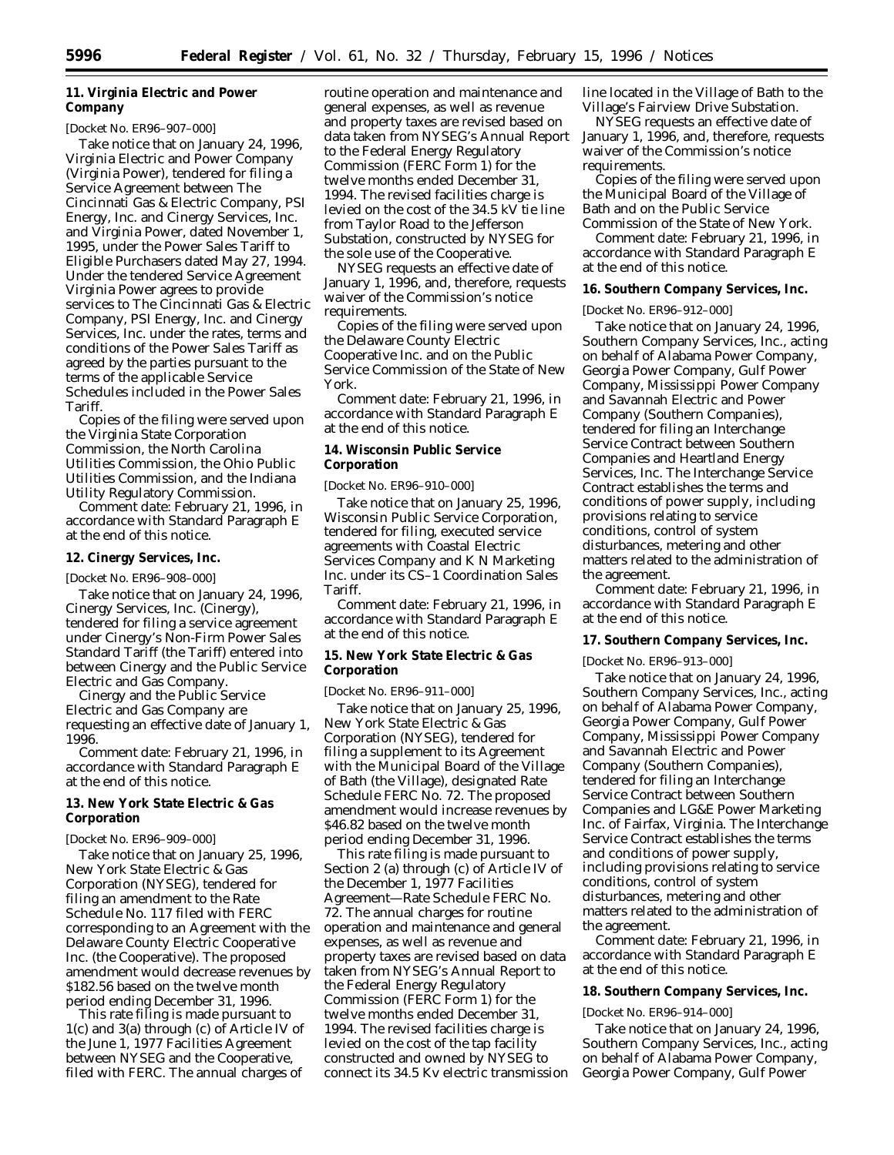# **11. Virginia Electric and Power Company**

### [Docket No. ER96–907–000]

Take notice that on January 24, 1996, Virginia Electric and Power Company (Virginia Power), tendered for filing a Service Agreement between The Cincinnati Gas & Electric Company, PSI Energy, Inc. and Cinergy Services, Inc. and Virginia Power, dated November 1, 1995, under the Power Sales Tariff to Eligible Purchasers dated May 27, 1994. Under the tendered Service Agreement Virginia Power agrees to provide services to The Cincinnati Gas & Electric Company, PSI Energy, Inc. and Cinergy Services, Inc. under the rates, terms and conditions of the Power Sales Tariff as agreed by the parties pursuant to the terms of the applicable Service Schedules included in the Power Sales **Tariff** 

Copies of the filing were served upon the Virginia State Corporation Commission, the North Carolina Utilities Commission, the Ohio Public Utilities Commission, and the Indiana Utility Regulatory Commission.

*Comment date:* February 21, 1996, in accordance with Standard Paragraph E at the end of this notice.

**12. Cinergy Services, Inc.**

[Docket No. ER96–908–000]

Take notice that on January 24, 1996, Cinergy Services, Inc. (Cinergy), tendered for filing a service agreement under Cinergy's Non-Firm Power Sales Standard Tariff (the Tariff) entered into between Cinergy and the Public Service Electric and Gas Company.

Cinergy and the Public Service Electric and Gas Company are requesting an effective date of January 1, 1996.

*Comment date:* February 21, 1996, in accordance with Standard Paragraph E at the end of this notice.

**13. New York State Electric & Gas Corporation**

[Docket No. ER96–909–000]

Take notice that on January 25, 1996, New York State Electric & Gas Corporation (NYSEG), tendered for filing an amendment to the Rate Schedule No. 117 filed with FERC corresponding to an Agreement with the Delaware County Electric Cooperative Inc. (the Cooperative). The proposed amendment would decrease revenues by \$182.56 based on the twelve month period ending December 31, 1996.

This rate filing is made pursuant to 1(c) and 3(a) through (c) of Article IV of the June 1, 1977 Facilities Agreement between NYSEG and the Cooperative, filed with FERC. The annual charges of

routine operation and maintenance and general expenses, as well as revenue and property taxes are revised based on data taken from NYSEG's Annual Report to the Federal Energy Regulatory Commission (FERC Form 1) for the twelve months ended December 31, 1994. The revised facilities charge is levied on the cost of the 34.5 kV tie line from Taylor Road to the Jefferson Substation, constructed by NYSEG for the sole use of the Cooperative.

NYSEG requests an effective date of January 1, 1996, and, therefore, requests waiver of the Commission's notice requirements.

Copies of the filing were served upon the Delaware County Electric Cooperative Inc. and on the Public Service Commission of the State of New York.

*Comment date:* February 21, 1996, in accordance with Standard Paragraph E at the end of this notice.

**14. Wisconsin Public Service Corporation**

[Docket No. ER96–910–000]

Take notice that on January 25, 1996, Wisconsin Public Service Corporation, tendered for filing, executed service agreements with Coastal Electric Services Company and K N Marketing Inc. under its CS–1 Coordination Sales Tariff.

*Comment date:* February 21, 1996, in accordance with Standard Paragraph E at the end of this notice.

**15. New York State Electric & Gas Corporation**

[Docket No. ER96–911–000]

Take notice that on January 25, 1996, New York State Electric & Gas Corporation (NYSEG), tendered for filing a supplement to its Agreement with the Municipal Board of the Village of Bath (the Village), designated Rate Schedule FERC No. 72. The proposed amendment would increase revenues by \$46.82 based on the twelve month period ending December 31, 1996.

This rate filing is made pursuant to Section 2 (a) through (c) of Article IV of the December 1, 1977 Facilities Agreement—Rate Schedule FERC No. 72. The annual charges for routine operation and maintenance and general expenses, as well as revenue and property taxes are revised based on data taken from NYSEG's Annual Report to the Federal Energy Regulatory Commission (FERC Form 1) for the twelve months ended December 31, 1994. The revised facilities charge is levied on the cost of the tap facility constructed and owned by NYSEG to connect its 34.5 Kv electric transmission line located in the Village of Bath to the Village's Fairview Drive Substation.

NYSEG requests an effective date of January 1, 1996, and, therefore, requests waiver of the Commission's notice requirements.

Copies of the filing were served upon the Municipal Board of the Village of Bath and on the Public Service Commission of the State of New York.

*Comment date:* February 21, 1996, in accordance with Standard Paragraph E at the end of this notice.

**16. Southern Company Services, Inc.**

[Docket No. ER96–912–000]

Take notice that on January 24, 1996, Southern Company Services, Inc., acting on behalf of Alabama Power Company, Georgia Power Company, Gulf Power Company, Mississippi Power Company and Savannah Electric and Power Company (Southern Companies), tendered for filing an Interchange Service Contract between Southern Companies and Heartland Energy Services, Inc. The Interchange Service Contract establishes the terms and conditions of power supply, including provisions relating to service conditions, control of system disturbances, metering and other matters related to the administration of the agreement.

*Comment date:* February 21, 1996, in accordance with Standard Paragraph E at the end of this notice.

**17. Southern Company Services, Inc.**

[Docket No. ER96–913–000]

Take notice that on January 24, 1996, Southern Company Services, Inc., acting on behalf of Alabama Power Company, Georgia Power Company, Gulf Power Company, Mississippi Power Company and Savannah Electric and Power Company (Southern Companies), tendered for filing an Interchange Service Contract between Southern Companies and LG&E Power Marketing Inc. of Fairfax, Virginia. The Interchange Service Contract establishes the terms and conditions of power supply, including provisions relating to service conditions, control of system disturbances, metering and other matters related to the administration of the agreement.

*Comment date:* February 21, 1996, in accordance with Standard Paragraph E at the end of this notice.

## **18. Southern Company Services, Inc.**

[Docket No. ER96–914–000]

Take notice that on January 24, 1996, Southern Company Services, Inc., acting on behalf of Alabama Power Company, Georgia Power Company, Gulf Power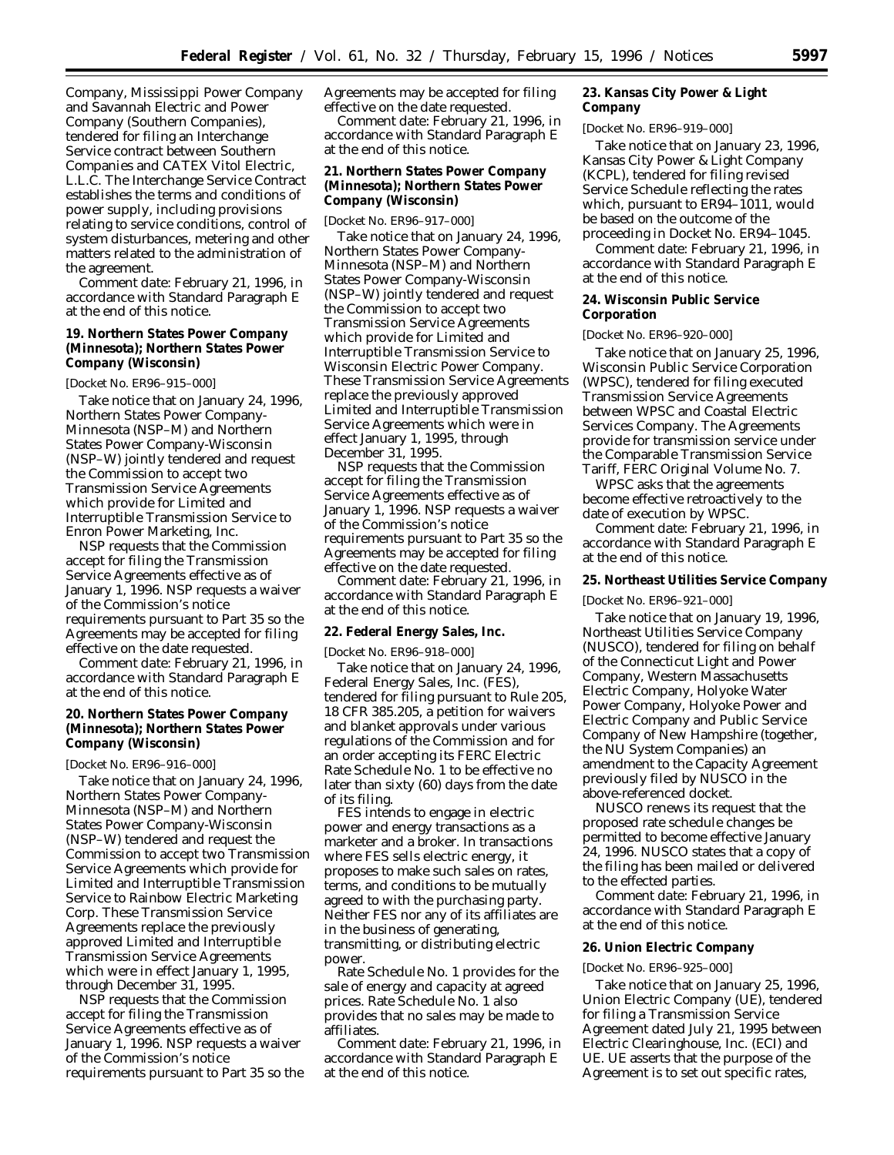Company, Mississippi Power Company and Savannah Electric and Power Company (Southern Companies), tendered for filing an Interchange Service contract between Southern Companies and CATEX Vitol Electric, L.L.C. The Interchange Service Contract establishes the terms and conditions of power supply, including provisions relating to service conditions, control of system disturbances, metering and other matters related to the administration of the agreement.

*Comment date:* February 21, 1996, in accordance with Standard Paragraph E at the end of this notice.

**19. Northern States Power Company (Minnesota); Northern States Power Company (Wisconsin)**

[Docket No. ER96–915–000]

Take notice that on January 24, 1996, Northern States Power Company-Minnesota (NSP–M) and Northern States Power Company-Wisconsin (NSP–W) jointly tendered and request the Commission to accept two Transmission Service Agreements which provide for Limited and Interruptible Transmission Service to Enron Power Marketing, Inc.

NSP requests that the Commission accept for filing the Transmission Service Agreements effective as of January 1, 1996. NSP requests a waiver of the Commission's notice requirements pursuant to Part 35 so the Agreements may be accepted for filing effective on the date requested.

*Comment date:* February 21, 1996, in accordance with Standard Paragraph E at the end of this notice.

**20. Northern States Power Company (Minnesota); Northern States Power Company (Wisconsin)**

### [Docket No. ER96–916–000]

Take notice that on January 24, 1996, Northern States Power Company-Minnesota (NSP–M) and Northern States Power Company-Wisconsin (NSP–W) tendered and request the Commission to accept two Transmission Service Agreements which provide for Limited and Interruptible Transmission Service to Rainbow Electric Marketing Corp. These Transmission Service Agreements replace the previously approved Limited and Interruptible Transmission Service Agreements which were in effect January 1, 1995, through December 31, 1995.

NSP requests that the Commission accept for filing the Transmission Service Agreements effective as of January 1, 1996. NSP requests a waiver of the Commission's notice requirements pursuant to Part 35 so the Agreements may be accepted for filing effective on the date requested.

*Comment date:* February 21, 1996, in accordance with Standard Paragraph E at the end of this notice.

**21. Northern States Power Company (Minnesota); Northern States Power Company (Wisconsin)**

## [Docket No. ER96–917–000]

Take notice that on January 24, 1996, Northern States Power Company-Minnesota (NSP–M) and Northern States Power Company-Wisconsin (NSP–W) jointly tendered and request the Commission to accept two Transmission Service Agreements which provide for Limited and Interruptible Transmission Service to Wisconsin Electric Power Company. These Transmission Service Agreements replace the previously approved Limited and Interruptible Transmission Service Agreements which were in effect January 1, 1995, through December 31, 1995.

NSP requests that the Commission accept for filing the Transmission Service Agreements effective as of January 1, 1996. NSP requests a waiver of the Commission's notice requirements pursuant to Part 35 so the Agreements may be accepted for filing effective on the date requested.

*Comment date:* February 21, 1996, in accordance with Standard Paragraph E at the end of this notice.

### **22. Federal Energy Sales, Inc.**

[Docket No. ER96–918–000]

Take notice that on January 24, 1996, Federal Energy Sales, Inc. (FES), tendered for filing pursuant to Rule 205, 18 CFR 385.205, a petition for waivers and blanket approvals under various regulations of the Commission and for an order accepting its FERC Electric Rate Schedule No. 1 to be effective no later than sixty (60) days from the date of its filing.

FES intends to engage in electric power and energy transactions as a marketer and a broker. In transactions where FES sells electric energy, it proposes to make such sales on rates, terms, and conditions to be mutually agreed to with the purchasing party. Neither FES nor any of its affiliates are in the business of generating, transmitting, or distributing electric power.

Rate Schedule No. 1 provides for the sale of energy and capacity at agreed prices. Rate Schedule No. 1 also provides that no sales may be made to affiliates.

*Comment date:* February 21, 1996, in accordance with Standard Paragraph E at the end of this notice.

**23. Kansas City Power & Light Company**

### [Docket No. ER96–919–000]

Take notice that on January 23, 1996, Kansas City Power & Light Company (KCPL), tendered for filing revised Service Schedule reflecting the rates which, pursuant to  $ER94-1011$ , would be based on the outcome of the proceeding in Docket No. ER94–1045.

*Comment date:* February 21, 1996, in accordance with Standard Paragraph E at the end of this notice.

**24. Wisconsin Public Service Corporation**

### [Docket No. ER96–920–000]

Take notice that on January 25, 1996, Wisconsin Public Service Corporation (WPSC), tendered for filing executed Transmission Service Agreements between WPSC and Coastal Electric Services Company. The Agreements provide for transmission service under the Comparable Transmission Service Tariff, FERC Original Volume No. 7.

WPSC asks that the agreements become effective retroactively to the date of execution by WPSC.

*Comment date:* February 21, 1996, in accordance with Standard Paragraph E at the end of this notice.

**25. Northeast Utilities Service Company**

[Docket No. ER96–921–000]

Take notice that on January 19, 1996, Northeast Utilities Service Company (NUSCO), tendered for filing on behalf of the Connecticut Light and Power Company, Western Massachusetts Electric Company, Holyoke Water Power Company, Holyoke Power and Electric Company and Public Service Company of New Hampshire (together, the NU System Companies) an amendment to the Capacity Agreement previously filed by NUSCO in the above-referenced docket.

NUSCO renews its request that the proposed rate schedule changes be permitted to become effective January 24, 1996. NUSCO states that a copy of the filing has been mailed or delivered to the effected parties.

*Comment date:* February 21, 1996, in accordance with Standard Paragraph E at the end of this notice.

### **26. Union Electric Company**

#### [Docket No. ER96–925–000]

Take notice that on January 25, 1996, Union Electric Company (UE), tendered for filing a Transmission Service Agreement dated July 21, 1995 between Electric Clearinghouse, Inc. (ECI) and UE. UE asserts that the purpose of the Agreement is to set out specific rates,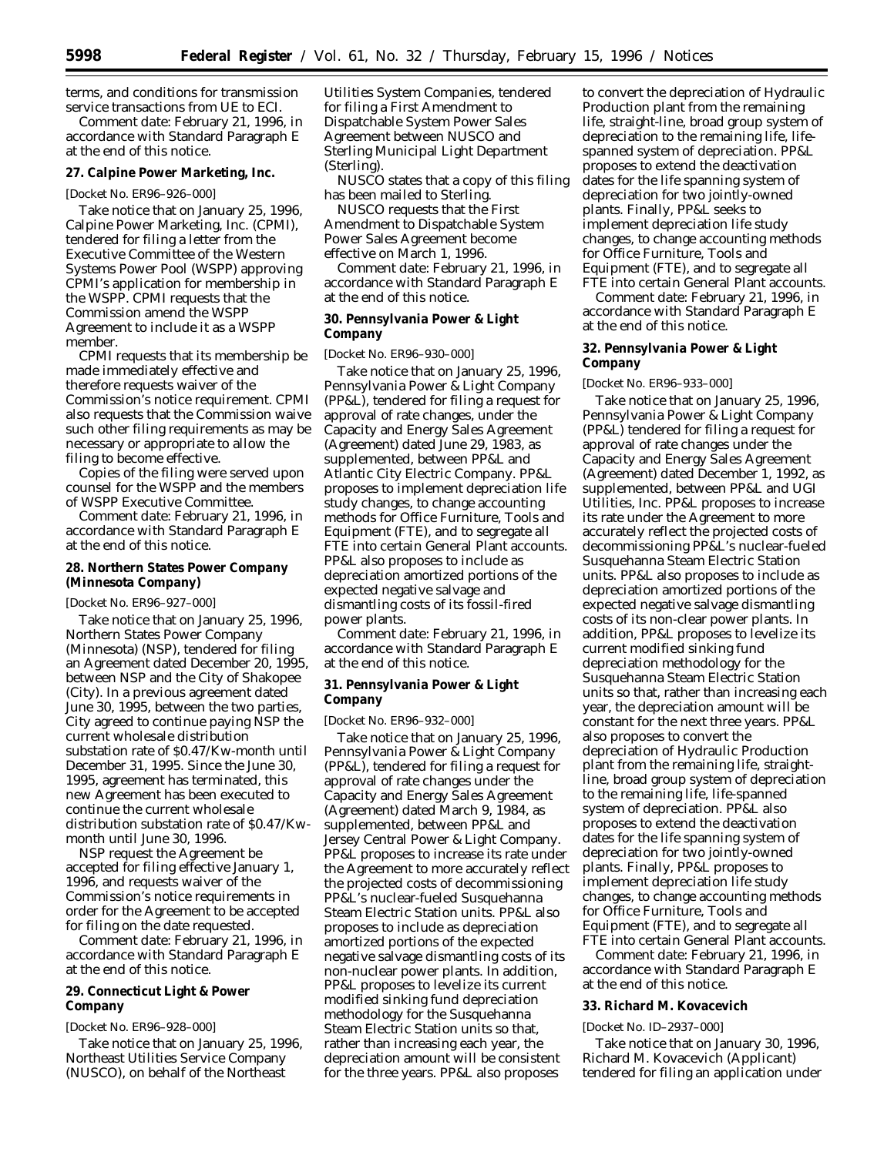terms, and conditions for transmission service transactions from UE to ECI.

*Comment date:* February 21, 1996, in accordance with Standard Paragraph E at the end of this notice.

## **27. Calpine Power Marketing, Inc.**

### [Docket No. ER96–926–000]

Take notice that on January 25, 1996, Calpine Power Marketing, Inc. (CPMI), tendered for filing a letter from the Executive Committee of the Western Systems Power Pool (WSPP) approving CPMI's application for membership in the WSPP. CPMI requests that the Commission amend the WSPP Agreement to include it as a WSPP member.

CPMI requests that its membership be made immediately effective and therefore requests waiver of the Commission's notice requirement. CPMI also requests that the Commission waive such other filing requirements as may be necessary or appropriate to allow the filing to become effective.

Copies of the filing were served upon counsel for the WSPP and the members of WSPP Executive Committee.

*Comment date:* February 21, 1996, in accordance with Standard Paragraph E at the end of this notice.

# **28. Northern States Power Company (Minnesota Company)**

### [Docket No. ER96–927–000]

Take notice that on January 25, 1996, Northern States Power Company (Minnesota) (NSP), tendered for filing an Agreement dated December 20, 1995, between NSP and the City of Shakopee (City). In a previous agreement dated June 30, 1995, between the two parties, City agreed to continue paying NSP the current wholesale distribution substation rate of \$0.47/Kw-month until December 31, 1995. Since the June 30, 1995, agreement has terminated, this new Agreement has been executed to continue the current wholesale distribution substation rate of \$0.47/Kwmonth until June 30, 1996.

NSP request the Agreement be accepted for filing effective January 1, 1996, and requests waiver of the Commission's notice requirements in order for the Agreement to be accepted for filing on the date requested.

*Comment date:* February 21, 1996, in accordance with Standard Paragraph E at the end of this notice.

## **29. Connecticut Light & Power Company**

## [Docket No. ER96–928–000]

Take notice that on January 25, 1996, Northeast Utilities Service Company (NUSCO), on behalf of the Northeast

Utilities System Companies, tendered for filing a First Amendment to Dispatchable System Power Sales Agreement between NUSCO and Sterling Municipal Light Department (Sterling).

NUSCO states that a copy of this filing has been mailed to Sterling.

NUSCO requests that the First Amendment to Dispatchable System Power Sales Agreement become effective on March 1, 1996.

*Comment date:* February 21, 1996, in accordance with Standard Paragraph E at the end of this notice.

## **30. Pennsylvania Power & Light Company**

### [Docket No. ER96–930–000]

Take notice that on January 25, 1996, Pennsylvania Power & Light Company (PP&L), tendered for filing a request for approval of rate changes, under the Capacity and Energy Sales Agreement (Agreement) dated June 29, 1983, as supplemented, between PP&L and Atlantic City Electric Company. PP&L proposes to implement depreciation life study changes, to change accounting methods for Office Furniture, Tools and Equipment (FTE), and to segregate all FTE into certain General Plant accounts. PP&L also proposes to include as depreciation amortized portions of the expected negative salvage and dismantling costs of its fossil-fired power plants.

*Comment date:* February 21, 1996, in accordance with Standard Paragraph E at the end of this notice.

**31. Pennsylvania Power & Light Company**

### [Docket No. ER96–932–000]

Take notice that on January 25, 1996, Pennsylvania Power & Light Company (PP&L), tendered for filing a request for approval of rate changes under the Capacity and Energy Sales Agreement (Agreement) dated March 9, 1984, as supplemented, between PP&L and Jersey Central Power & Light Company. PP&L proposes to increase its rate under the Agreement to more accurately reflect the projected costs of decommissioning PP&L's nuclear-fueled Susquehanna Steam Electric Station units. PP&L also proposes to include as depreciation amortized portions of the expected negative salvage dismantling costs of its non-nuclear power plants. In addition, PP&L proposes to levelize its current modified sinking fund depreciation methodology for the Susquehanna Steam Electric Station units so that, rather than increasing each year, the depreciation amount will be consistent for the three years. PP&L also proposes

to convert the depreciation of Hydraulic Production plant from the remaining life, straight-line, broad group system of depreciation to the remaining life, lifespanned system of depreciation. PP&L proposes to extend the deactivation dates for the life spanning system of depreciation for two jointly-owned plants. Finally, PP&L seeks to implement depreciation life study changes, to change accounting methods for Office Furniture, Tools and Equipment (FTE), and to segregate all FTE into certain General Plant accounts.

*Comment date:* February 21, 1996, in accordance with Standard Paragraph E at the end of this notice.

## **32. Pennsylvania Power & Light Company**

### [Docket No. ER96–933–000]

Take notice that on January 25, 1996, Pennsylvania Power & Light Company (PP&L) tendered for filing a request for approval of rate changes under the Capacity and Energy Sales Agreement (Agreement) dated December 1, 1992, as supplemented, between PP&L and UGI Utilities, Inc. PP&L proposes to increase its rate under the Agreement to more accurately reflect the projected costs of decommissioning PP&L's nuclear-fueled Susquehanna Steam Electric Station units. PP&L also proposes to include as depreciation amortized portions of the expected negative salvage dismantling costs of its non-clear power plants. In addition, PP&L proposes to levelize its current modified sinking fund depreciation methodology for the Susquehanna Steam Electric Station units so that, rather than increasing each year, the depreciation amount will be constant for the next three years. PP&L also proposes to convert the depreciation of Hydraulic Production plant from the remaining life, straightline, broad group system of depreciation to the remaining life, life-spanned system of depreciation. PP&L also proposes to extend the deactivation dates for the life spanning system of depreciation for two jointly-owned plants. Finally, PP&L proposes to implement depreciation life study changes, to change accounting methods for Office Furniture, Tools and Equipment (FTE), and to segregate all FTE into certain General Plant accounts.

*Comment date:* February 21, 1996, in accordance with Standard Paragraph E at the end of this notice.

#### **33. Richard M. Kovacevich**

### [Docket No. ID–2937–000]

Take notice that on January 30, 1996, Richard M. Kovacevich (Applicant) tendered for filing an application under